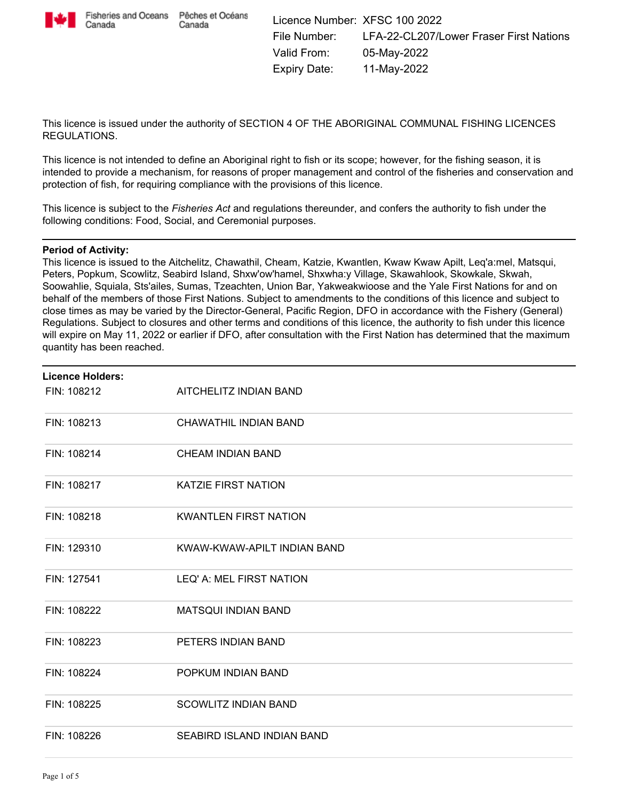

Canada

This licence is issued under the authority of SECTION 4 OF THE ABORIGINAL COMMUNAL FISHING LICENCES REGULATIONS.

This licence is not intended to define an Aboriginal right to fish or its scope; however, for the fishing season, it is intended to provide a mechanism, for reasons of proper management and control of the fisheries and conservation and protection of fish, for requiring compliance with the provisions of this licence.

This licence is subject to the *Fisheries Act* and regulations thereunder, and confers the authority to fish under the following conditions: Food, Social, and Ceremonial purposes.

#### **Period of Activity:**

This licence is issued to the Aitchelitz, Chawathil, Cheam, Katzie, Kwantlen, Kwaw Kwaw Apilt, Leq'a:mel, Matsqui, Peters, Popkum, Scowlitz, Seabird Island, Shxw'ow'hamel, Shxwha:y Village, Skawahlook, Skowkale, Skwah, Soowahlie, Squiala, Sts'ailes, Sumas, Tzeachten, Union Bar, Yakweakwioose and the Yale First Nations for and on behalf of the members of those First Nations. Subject to amendments to the conditions of this licence and subject to close times as may be varied by the Director-General, Pacific Region, DFO in accordance with the Fishery (General) Regulations. Subject to closures and other terms and conditions of this licence, the authority to fish under this licence will expire on May 11, 2022 or earlier if DFO, after consultation with the First Nation has determined that the maximum quantity has been reached.

| <b>Licence Holders:</b> |                              |
|-------------------------|------------------------------|
| FIN: 108212             | AITCHELITZ INDIAN BAND       |
| FIN: 108213             | CHAWATHIL INDIAN BAND        |
| FIN: 108214             | <b>CHEAM INDIAN BAND</b>     |
| FIN: 108217             | <b>KATZIE FIRST NATION</b>   |
| FIN: 108218             | <b>KWANTLEN FIRST NATION</b> |
| FIN: 129310             | KWAW-KWAW-APILT INDIAN BAND  |
| FIN: 127541             | LEQ' A: MEL FIRST NATION     |
| FIN: 108222             | <b>MATSQUI INDIAN BAND</b>   |
| FIN: 108223             | PETERS INDIAN BAND           |
| FIN: 108224             | POPKUM INDIAN BAND           |
| FIN: 108225             | <b>SCOWLITZ INDIAN BAND</b>  |
| FIN: 108226             | SEABIRD ISLAND INDIAN BAND   |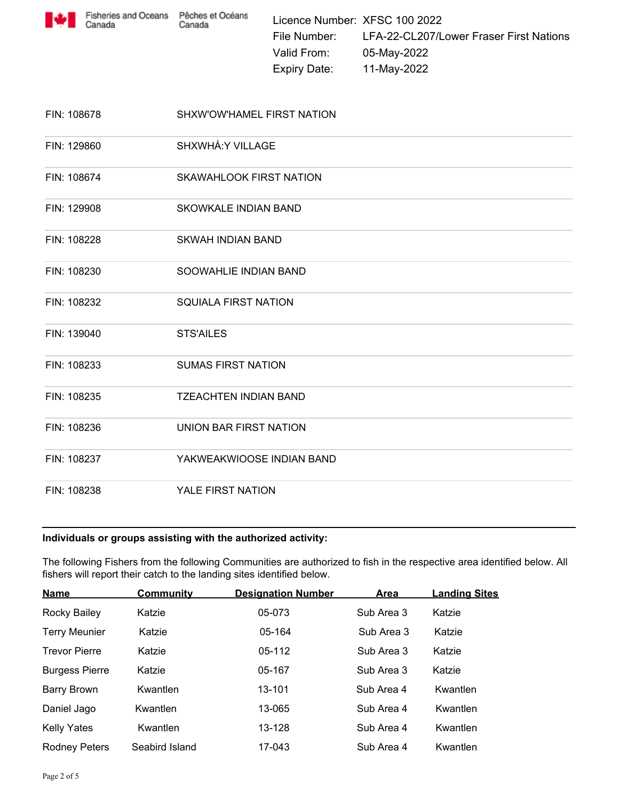

| FIN: 108678 | SHXW'OW'HAMEL FIRST NATION   |  |
|-------------|------------------------------|--|
| FIN: 129860 | SHXWHÁ: Y VILLAGE            |  |
| FIN: 108674 | SKAWAHLOOK FIRST NATION      |  |
| FIN: 129908 | <b>SKOWKALE INDIAN BAND</b>  |  |
| FIN: 108228 | SKWAH INDIAN BAND            |  |
| FIN: 108230 | SOOWAHLIE INDIAN BAND        |  |
| FIN: 108232 | <b>SQUIALA FIRST NATION</b>  |  |
| FIN: 139040 | <b>STS'AILES</b>             |  |
| FIN: 108233 | <b>SUMAS FIRST NATION</b>    |  |
| FIN: 108235 | <b>TZEACHTEN INDIAN BAND</b> |  |
| FIN: 108236 | UNION BAR FIRST NATION       |  |
| FIN: 108237 | YAKWEAKWIOOSE INDIAN BAND    |  |
| FIN: 108238 | YALE FIRST NATION            |  |

## **Individuals or groups assisting with the authorized activity:**

The following Fishers from the following Communities are authorized to fish in the respective area identified below. All fishers will report their catch to the landing sites identified below.

| <b>Name</b>           | <b>Community</b> | <b>Designation Number</b> | Area       | <b>Landing Sites</b> |
|-----------------------|------------------|---------------------------|------------|----------------------|
| Rocky Bailey          | Katzie           | 05-073                    | Sub Area 3 | Katzie               |
| <b>Terry Meunier</b>  | Katzie           | 05-164                    | Sub Area 3 | Katzie               |
| <b>Trevor Pierre</b>  | Katzie           | 05-112                    | Sub Area 3 | Katzie               |
| <b>Burgess Pierre</b> | Katzie           | 05-167                    | Sub Area 3 | Katzie               |
| <b>Barry Brown</b>    | Kwantlen         | 13-101                    | Sub Area 4 | Kwantlen             |
| Daniel Jago           | Kwantlen         | 13-065                    | Sub Area 4 | Kwantlen             |
| <b>Kelly Yates</b>    | Kwantlen         | 13-128                    | Sub Area 4 | Kwantlen             |
| <b>Rodney Peters</b>  | Seabird Island   | 17-043                    | Sub Area 4 | Kwantlen             |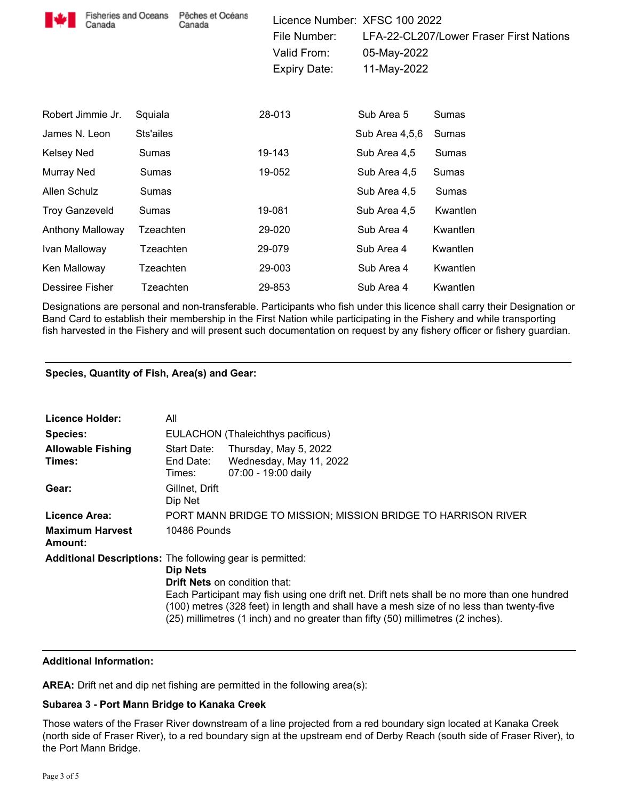| <b>Fisheries and Oceans</b><br>Canada |           | Pêches et Océans<br>Canada | Licence Number: XFSC 100 2022<br>File Number:<br>Valid From:<br><b>Expiry Date:</b> | 05-May-2022<br>11-May-2022 | LFA-22-CL207/Lower Fraser First Nations |
|---------------------------------------|-----------|----------------------------|-------------------------------------------------------------------------------------|----------------------------|-----------------------------------------|
| Robert Jimmie Jr.                     | Squiala   |                            | 28-013                                                                              | Sub Area 5                 | Sumas                                   |
| James N. Leon                         | Sts'ailes |                            |                                                                                     | Sub Area 4,5,6             | Sumas                                   |
| Kelsey Ned                            | Sumas     |                            | 19-143                                                                              | Sub Area 4,5               | Sumas                                   |
| Murray Ned                            | Sumas     |                            | 19-052                                                                              | Sub Area 4,5               | Sumas                                   |
| Allen Schulz                          | Sumas     |                            |                                                                                     | Sub Area 4,5               | Sumas                                   |
| <b>Troy Ganzeveld</b>                 | Sumas     |                            | 19-081                                                                              | Sub Area 4,5               | Kwantlen                                |
| Anthony Malloway                      | Tzeachten |                            | 29-020                                                                              | Sub Area 4                 | Kwantlen                                |
| Ivan Malloway                         | Tzeachten |                            | 29-079                                                                              | Sub Area 4                 | Kwantlen                                |
| Ken Malloway                          | Tzeachten |                            | 29-003                                                                              | Sub Area 4                 | Kwantlen                                |
| Dessiree Fisher                       | Tzeachten |                            | 29-853                                                                              | Sub Area 4                 | Kwantlen                                |

Designations are personal and non-transferable. Participants who fish under this licence shall carry their Designation or Band Card to establish their membership in the First Nation while participating in the Fishery and while transporting fish harvested in the Fishery and will present such documentation on request by any fishery officer or fishery guardian.

# **Species, Quantity of Fish, Area(s) and Gear:**

| Licence Holder:                                                  | All                                                           |                                                                                                                                                                                                                                                                                                                     |  |  |  |
|------------------------------------------------------------------|---------------------------------------------------------------|---------------------------------------------------------------------------------------------------------------------------------------------------------------------------------------------------------------------------------------------------------------------------------------------------------------------|--|--|--|
| <b>Species:</b>                                                  |                                                               | EULACHON (Thaleichthys pacificus)                                                                                                                                                                                                                                                                                   |  |  |  |
| <b>Allowable Fishing</b><br>Times:                               | Start Date:<br>End Date:<br>Times:                            | Thursday, May 5, 2022<br>Wednesday, May 11, 2022<br>07:00 - 19:00 daily                                                                                                                                                                                                                                             |  |  |  |
| Gear:                                                            | Gillnet, Drift<br>Dip Net                                     |                                                                                                                                                                                                                                                                                                                     |  |  |  |
| Licence Area:                                                    | PORT MANN BRIDGE TO MISSION; MISSION BRIDGE TO HARRISON RIVER |                                                                                                                                                                                                                                                                                                                     |  |  |  |
| <b>Maximum Harvest</b><br>Amount:                                | 10486 Pounds                                                  |                                                                                                                                                                                                                                                                                                                     |  |  |  |
| <b>Additional Descriptions:</b> The following gear is permitted: | Dip Nets                                                      | <b>Drift Nets</b> on condition that:<br>Each Participant may fish using one drift net. Drift nets shall be no more than one hundred<br>(100) metres (328 feet) in length and shall have a mesh size of no less than twenty-five<br>(25) millimetres (1 inch) and no greater than fifty (50) millimetres (2 inches). |  |  |  |

# **Additional Information:**

**AREA:** Drift net and dip net fishing are permitted in the following area(s):

# **Subarea 3 - Port Mann Bridge to Kanaka Creek**

Those waters of the Fraser River downstream of a line projected from a red boundary sign located at Kanaka Creek (north side of Fraser River), to a red boundary sign at the upstream end of Derby Reach (south side of Fraser River), to the Port Mann Bridge.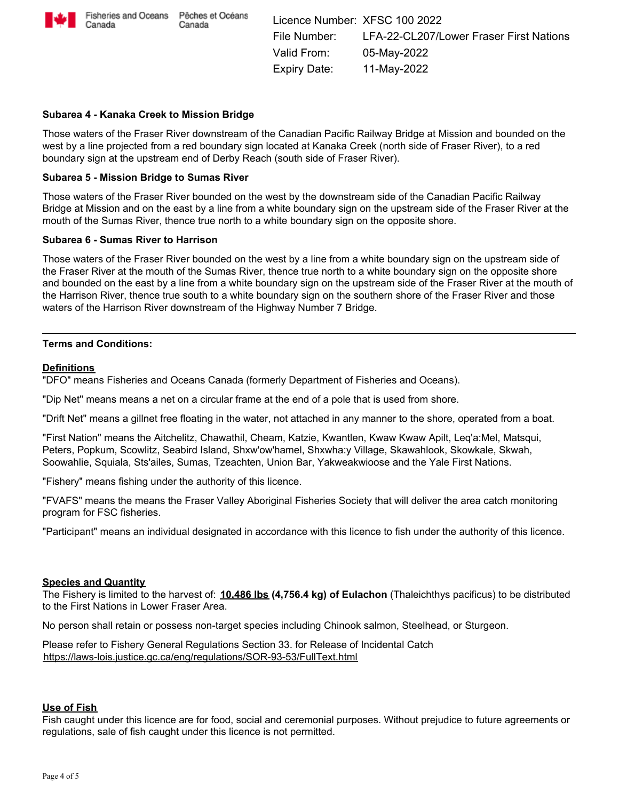

### **Subarea 4 - Kanaka Creek to Mission Bridge**

Those waters of the Fraser River downstream of the Canadian Pacific Railway Bridge at Mission and bounded on the west by a line projected from a red boundary sign located at Kanaka Creek (north side of Fraser River), to a red boundary sign at the upstream end of Derby Reach (south side of Fraser River).

#### **Subarea 5 - Mission Bridge to Sumas River**

Those waters of the Fraser River bounded on the west by the downstream side of the Canadian Pacific Railway Bridge at Mission and on the east by a line from a white boundary sign on the upstream side of the Fraser River at the mouth of the Sumas River, thence true north to a white boundary sign on the opposite shore.

#### **Subarea 6 - Sumas River to Harrison**

Those waters of the Fraser River bounded on the west by a line from a white boundary sign on the upstream side of the Fraser River at the mouth of the Sumas River, thence true north to a white boundary sign on the opposite shore and bounded on the east by a line from a white boundary sign on the upstream side of the Fraser River at the mouth of the Harrison River, thence true south to a white boundary sign on the southern shore of the Fraser River and those waters of the Harrison River downstream of the Highway Number 7 Bridge.

### **Terms and Conditions:**

#### **Definitions**

"DFO" means Fisheries and Oceans Canada (formerly Department of Fisheries and Oceans).

"Dip Net" means means a net on a circular frame at the end of a pole that is used from shore.

"Drift Net" means a gillnet free floating in the water, not attached in any manner to the shore, operated from a boat.

"First Nation" means the Aitchelitz, Chawathil, Cheam, Katzie, Kwantlen, Kwaw Kwaw Apilt, Leq'a:Mel, Matsqui, Peters, Popkum, Scowlitz, Seabird Island, Shxw'ow'hamel, Shxwha:y Village, Skawahlook, Skowkale, Skwah, Soowahlie, Squiala, Sts'ailes, Sumas, Tzeachten, Union Bar, Yakweakwioose and the Yale First Nations.

"Fishery" means fishing under the authority of this licence.

"FVAFS" means the means the Fraser Valley Aboriginal Fisheries Society that will deliver the area catch monitoring program for FSC fisheries.

"Participant" means an individual designated in accordance with this licence to fish under the authority of this licence.

#### **Species and Quantity**

The Fishery is limited to the harvest of: **10,486 lbs (4,756.4 kg) of Eulachon** (Thaleichthys pacificus) to be distributed to the First Nations in Lower Fraser Area.

No person shall retain or possess non-target species including Chinook salmon, Steelhead, or Sturgeon.

Please refer to Fishery General Regulations Section 33. for Release of Incidental Catch https://laws-lois.justice.gc.ca/eng/regulations/SOR-93-53/FullText.html

#### **Use of Fish**

Fish caught under this licence are for food, social and ceremonial purposes. Without prejudice to future agreements or regulations, sale of fish caught under this licence is not permitted.